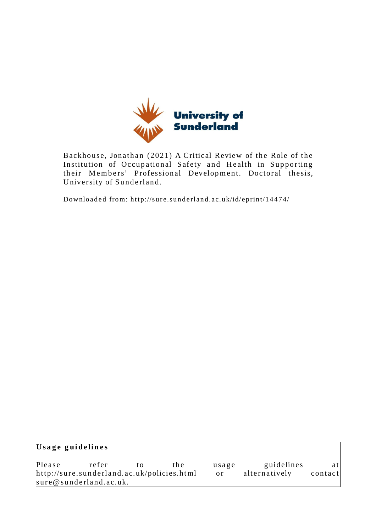

Backhouse, Jonathan (2021) A Critical Review of the Role of the Institution of Occupational Safety and Health in Supporting their Members' Professional Development. Doctoral thesis, University of Sunderland.

Downloaded from: http://sure.sunderland.ac.uk/id/eprint/14474/

| Usage guidelines                           |                        |    |      |       |               |         |
|--------------------------------------------|------------------------|----|------|-------|---------------|---------|
| Please                                     | refer                  | tΩ | the. | usage | guidelines    | atl     |
| http://sure.sunderland.ac.uk/policies.html |                        |    |      | 0r    | alternatively | contact |
|                                            | sure@sunderland.ac.uk. |    |      |       |               |         |